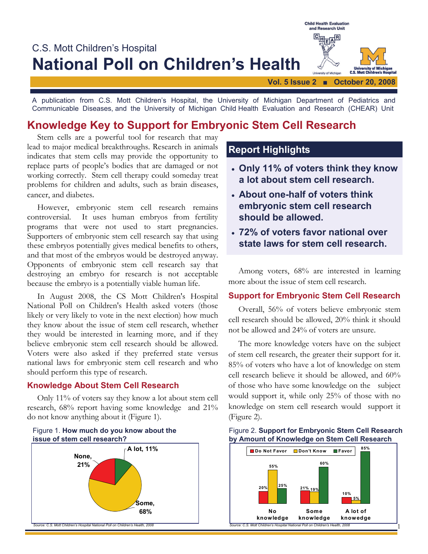

A publication from C.S. Mott Children's Hospital, the University of Michigan Department of Pediatrics and Communicable Diseases, and the University of Michigan Child Health Evaluation and Research (CHEAR) Unit

# **Knowledge Key to Support for Embryonic Stem Cell Research**

 Stem cells are a powerful tool for research that may lead to major medical breakthroughs. Research in animals indicates that stem cells may provide the opportunity to replace parts of people's bodies that are damaged or not working correctly. Stem cell therapy could someday treat problems for children and adults, such as brain diseases, cancer, and diabetes*.*

 However, embryonic stem cell research remains controversial. It uses human embryos from fertility programs that were not used to start pregnancies. Supporters of embryonic stem cell research say that using these embryos potentially gives medical benefits to others, and that most of the embryos would be destroyed anyway. Opponents of embryonic stem cell research say that destroying an embryo for research is not acceptable because the embryo is a potentially viable human life.

 In August 2008, the CS Mott Children's Hospital National Poll on Children's Health asked voters (those likely or very likely to vote in the next election) how much they know about the issue of stem cell research, whether they would be interested in learning more, and if they believe embryonic stem cell research should be allowed. Voters were also asked if they preferred state versus national laws for embryonic stem cell research and who should perform this type of research.

#### **Knowledge About Stem Cell Research**

Only 11% of voters say they know a lot about stem cell research, 68% report having some knowledge and 21% do not know anything about it (Figure 1).





## **Report Highlights**

- **Only 11% of voters think they know a lot about stem cell research.**
- **About one-half of voters think embryonic stem cell research should be allowed.**
- **72% of voters favor national over state laws for stem cell research.**

 Among voters, 68% are interested in learning more about the issue of stem cell research.

#### **Support for Embryonic Stem Cell Research**

Overall, 56% of voters believe embryonic stem cell research should be allowed, 20% think it should not be allowed and 24% of voters are unsure.

 The more knowledge voters have on the subject of stem cell research, the greater their support for it. 85% of voters who have a lot of knowledge on stem cell research believe it should be allowed, and 60% of those who have some knowledge on the subject would support it, while only 25% of those with no knowledge on stem cell research would support it (Figure 2).